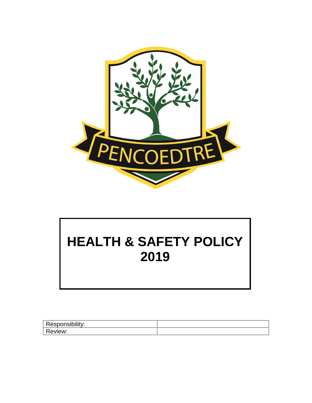

# **HEALTH & SAFETY POLICY 2019**

| Responsibility: |  |
|-----------------|--|
| <b>Review:</b>  |  |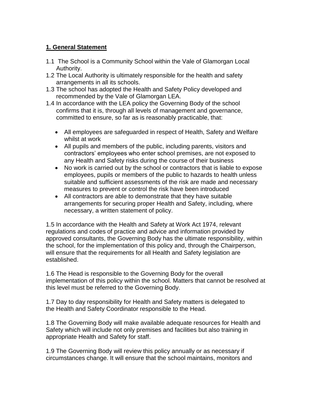## **1. General Statement**

- 1.1 The School is a Community School within the Vale of Glamorgan Local Authority.
- 1.2 The Local Authority is ultimately responsible for the health and safety arrangements in all its schools.
- 1.3 The school has adopted the Health and Safety Policy developed and recommended by the Vale of Glamorgan LEA.
- 1.4 In accordance with the LEA policy the Governing Body of the school confirms that it is, through all levels of management and governance, committed to ensure, so far as is reasonably practicable, that:
	- All employees are safeguarded in respect of Health, Safety and Welfare whilst at work
	- All pupils and members of the public, including parents, visitors and contractors' employees who enter school premises, are not exposed to any Health and Safety risks during the course of their business
	- No work is carried out by the school or contractors that is liable to expose employees, pupils or members of the public to hazards to health unless suitable and sufficient assessments of the risk are made and necessary measures to prevent or control the risk have been introduced
	- All contractors are able to demonstrate that they have suitable arrangements for securing proper Health and Safety, including, where necessary, a written statement of policy.

1.5 In accordance with the Health and Safety at Work Act 1974, relevant regulations and codes of practice and advice and information provided by approved consultants, the Governing Body has the ultimate responsibility, within the school, for the implementation of this policy and, through the Chairperson, will ensure that the requirements for all Health and Safety legislation are established.

1.6 The Head is responsible to the Governing Body for the overall implementation of this policy within the school. Matters that cannot be resolved at this level must be referred to the Governing Body.

1.7 Day to day responsibility for Health and Safety matters is delegated to the Health and Safety Coordinator responsible to the Head.

1.8 The Governing Body will make available adequate resources for Health and Safety which will include not only premises and facilities but also training in appropriate Health and Safety for staff.

1.9 The Governing Body will review this policy annually or as necessary if circumstances change. It will ensure that the school maintains, monitors and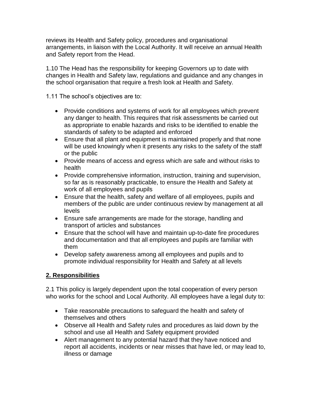reviews its Health and Safety policy, procedures and organisational arrangements, in liaison with the Local Authority. It will receive an annual Health and Safety report from the Head.

1.10 The Head has the responsibility for keeping Governors up to date with changes in Health and Safety law, regulations and guidance and any changes in the school organisation that require a fresh look at Health and Safety.

1.11 The school's objectives are to:

- Provide conditions and systems of work for all employees which prevent any danger to health. This requires that risk assessments be carried out as appropriate to enable hazards and risks to be identified to enable the standards of safety to be adapted and enforced
- Ensure that all plant and equipment is maintained properly and that none will be used knowingly when it presents any risks to the safety of the staff or the public
- Provide means of access and egress which are safe and without risks to health
- Provide comprehensive information, instruction, training and supervision, so far as is reasonably practicable, to ensure the Health and Safety at work of all employees and pupils
- Ensure that the health, safety and welfare of all employees, pupils and members of the public are under continuous review by management at all levels
- Ensure safe arrangements are made for the storage, handling and transport of articles and substances
- Ensure that the school will have and maintain up-to-date fire procedures and documentation and that all employees and pupils are familiar with them
- Develop safety awareness among all employees and pupils and to promote individual responsibility for Health and Safety at all levels

## **2. Responsibilities**

2.1 This policy is largely dependent upon the total cooperation of every person who works for the school and Local Authority. All employees have a legal duty to:

- Take reasonable precautions to safeguard the health and safety of themselves and others
- Observe all Health and Safety rules and procedures as laid down by the school and use all Health and Safety equipment provided
- Alert management to any potential hazard that they have noticed and report all accidents, incidents or near misses that have led, or may lead to, illness or damage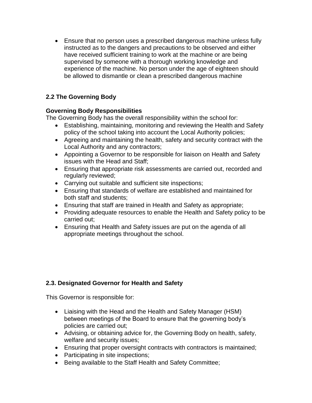• Ensure that no person uses a prescribed dangerous machine unless fully instructed as to the dangers and precautions to be observed and either have received sufficient training to work at the machine or are being supervised by someone with a thorough working knowledge and experience of the machine. No person under the age of eighteen should be allowed to dismantle or clean a prescribed dangerous machine

## **2.2 The Governing Body**

#### **Governing Body Responsibilities**

The Governing Body has the overall responsibility within the school for:

- Establishing, maintaining, monitoring and reviewing the Health and Safety policy of the school taking into account the Local Authority policies;
- Agreeing and maintaining the health, safety and security contract with the Local Authority and any contractors;
- Appointing a Governor to be responsible for liaison on Health and Safety issues with the Head and Staff;
- Ensuring that appropriate risk assessments are carried out, recorded and regularly reviewed;
- Carrying out suitable and sufficient site inspections;
- Ensuring that standards of welfare are established and maintained for both staff and students;
- Ensuring that staff are trained in Health and Safety as appropriate;
- Providing adequate resources to enable the Health and Safety policy to be carried out;
- Ensuring that Health and Safety issues are put on the agenda of all appropriate meetings throughout the school.

## **2.3. Designated Governor for Health and Safety**

This Governor is responsible for:

- Liaising with the Head and the Health and Safety Manager (HSM) between meetings of the Board to ensure that the governing body's policies are carried out;
- Advising, or obtaining advice for, the Governing Body on health, safety, welfare and security issues;
- Ensuring that proper oversight contracts with contractors is maintained;
- Participating in site inspections;
- Being available to the Staff Health and Safety Committee;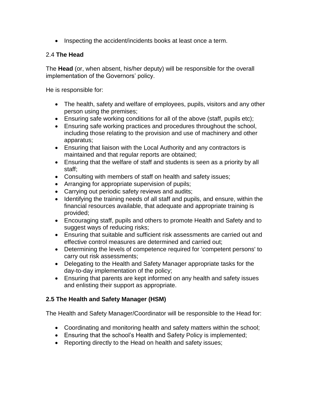• Inspecting the accident/incidents books at least once a term.

#### 2.4 **The Head**

The **Head** (or, when absent, his/her deputy) will be responsible for the overall implementation of the Governors' policy.

He is responsible for:

- The health, safety and welfare of employees, pupils, visitors and any other person using the premises;
- Ensuring safe working conditions for all of the above (staff, pupils etc);
- Ensuring safe working practices and procedures throughout the school, including those relating to the provision and use of machinery and other apparatus;
- Ensuring that liaison with the Local Authority and any contractors is maintained and that regular reports are obtained;
- Ensuring that the welfare of staff and students is seen as a priority by all staff;
- Consulting with members of staff on health and safety issues;
- Arranging for appropriate supervision of pupils;
- Carrying out periodic safety reviews and audits;
- Identifying the training needs of all staff and pupils, and ensure, within the financial resources available, that adequate and appropriate training is provided;
- Encouraging staff, pupils and others to promote Health and Safety and to suggest ways of reducing risks;
- Ensuring that suitable and sufficient risk assessments are carried out and effective control measures are determined and carried out;
- Determining the levels of competence required for 'competent persons' to carry out risk assessments;
- Delegating to the Health and Safety Manager appropriate tasks for the day-to-day implementation of the policy;
- Ensuring that parents are kept informed on any health and safety issues and enlisting their support as appropriate.

#### **2.5 The Health and Safety Manager (HSM)**

The Health and Safety Manager/Coordinator will be responsible to the Head for:

- Coordinating and monitoring health and safety matters within the school;
- Ensuring that the school's Health and Safety Policy is implemented;
- Reporting directly to the Head on health and safety issues;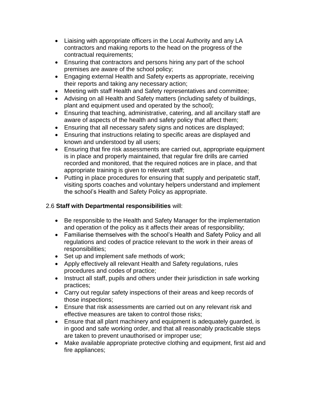- Liaising with appropriate officers in the Local Authority and any LA contractors and making reports to the head on the progress of the contractual requirements;
- Ensuring that contractors and persons hiring any part of the school premises are aware of the school policy;
- Engaging external Health and Safety experts as appropriate, receiving their reports and taking any necessary action;
- Meeting with staff Health and Safety representatives and committee;
- Advising on all Health and Safety matters (including safety of buildings, plant and equipment used and operated by the school);
- Ensuring that teaching, administrative, catering, and all ancillary staff are aware of aspects of the health and safety policy that affect them;
- Ensuring that all necessary safety signs and notices are displayed;
- Ensuring that instructions relating to specific areas are displayed and known and understood by all users;
- Ensuring that fire risk assessments are carried out, appropriate equipment is in place and properly maintained, that regular fire drills are carried recorded and monitored, that the required notices are in place, and that appropriate training is given to relevant staff;
- Putting in place procedures for ensuring that supply and peripatetic staff, visiting sports coaches and voluntary helpers understand and implement the school's Health and Safety Policy as appropriate.

## 2.6 **Staff with Departmental responsibilities** will:

- Be responsible to the Health and Safety Manager for the implementation and operation of the policy as it affects their areas of responsibility;
- Familiarise themselves with the school's Health and Safety Policy and all regulations and codes of practice relevant to the work in their areas of responsibilities;
- Set up and implement safe methods of work;
- Apply effectively all relevant Health and Safety regulations, rules procedures and codes of practice;
- Instruct all staff, pupils and others under their jurisdiction in safe working practices;
- Carry out regular safety inspections of their areas and keep records of those inspections;
- Ensure that risk assessments are carried out on any relevant risk and effective measures are taken to control those risks;
- Ensure that all plant machinery and equipment is adequately guarded, is in good and safe working order, and that all reasonably practicable steps are taken to prevent unauthorised or improper use;
- Make available appropriate protective clothing and equipment, first aid and fire appliances;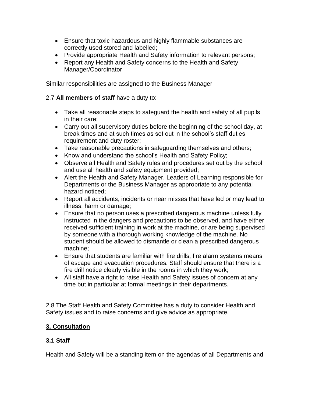- Ensure that toxic hazardous and highly flammable substances are correctly used stored and labelled;
- Provide appropriate Health and Safety information to relevant persons;
- Report any Health and Safety concerns to the Health and Safety Manager/Coordinator

Similar responsibilities are assigned to the Business Manager

## 2.7 **All members of staff** have a duty to:

- Take all reasonable steps to safeguard the health and safety of all pupils in their care;
- Carry out all supervisory duties before the beginning of the school day, at break times and at such times as set out in the school's staff duties requirement and duty roster;
- Take reasonable precautions in safeguarding themselves and others;
- Know and understand the school's Health and Safety Policy;
- Observe all Health and Safety rules and procedures set out by the school and use all health and safety equipment provided;
- Alert the Health and Safety Manager, Leaders of Learning responsible for Departments or the Business Manager as appropriate to any potential hazard noticed;
- Report all accidents, incidents or near misses that have led or may lead to illness, harm or damage;
- Ensure that no person uses a prescribed dangerous machine unless fully instructed in the dangers and precautions to be observed, and have either received sufficient training in work at the machine, or are being supervised by someone with a thorough working knowledge of the machine. No student should be allowed to dismantle or clean a prescribed dangerous machine;
- Ensure that students are familiar with fire drills, fire alarm systems means of escape and evacuation procedures. Staff should ensure that there is a fire drill notice clearly visible in the rooms in which they work;
- All staff have a right to raise Health and Safety issues of concern at any time but in particular at formal meetings in their departments.

2.8 The Staff Health and Safety Committee has a duty to consider Health and Safety issues and to raise concerns and give advice as appropriate.

## **3. Consultation**

## **3.1 Staff**

Health and Safety will be a standing item on the agendas of all Departments and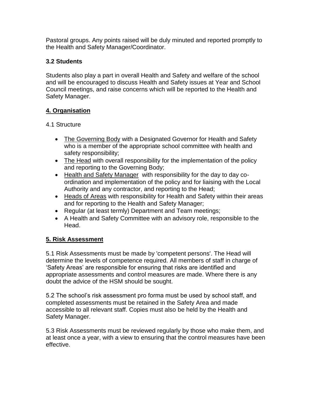Pastoral groups. Any points raised will be duly minuted and reported promptly to the Health and Safety Manager/Coordinator.

## **3.2 Students**

Students also play a part in overall Health and Safety and welfare of the school and will be encouraged to discuss Health and Safety issues at Year and School Council meetings, and raise concerns which will be reported to the Health and Safety Manager.

## **4. Organisation**

## 4.1 Structure

- The Governing Body with a Designated Governor for Health and Safety who is a member of the appropriate school committee with health and safety responsibility;
- The Head with overall responsibility for the implementation of the policy and reporting to the Governing Body;
- Health and Safety Manager with responsibility for the day to day coordination and implementation of the policy and for liaising with the Local Authority and any contractor, and reporting to the Head;
- Heads of Areas with responsibility for Health and Safety within their areas and for reporting to the Health and Safety Manager;
- Regular (at least termly) Department and Team meetings;
- A Health and Safety Committee with an advisory role, responsible to the Head.

## **5. Risk Assessment**

5.1 Risk Assessments must be made by 'competent persons'. The Head will determine the levels of competence required. All members of staff in charge of 'Safety Areas' are responsible for ensuring that risks are identified and appropriate assessments and control measures are made. Where there is any doubt the advice of the HSM should be sought.

5.2 The school's risk assessment pro forma must be used by school staff, and completed assessments must be retained in the Safety Area and made accessible to all relevant staff. Copies must also be held by the Health and Safety Manager.

5.3 Risk Assessments must be reviewed regularly by those who make them, and at least once a year, with a view to ensuring that the control measures have been effective.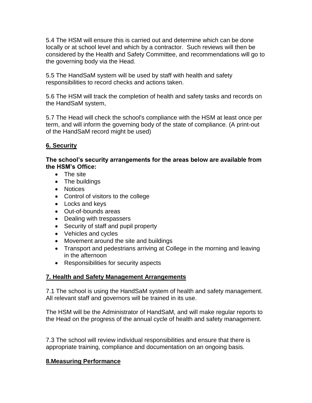5.4 The HSM will ensure this is carried out and determine which can be done locally or at school level and which by a contractor. Such reviews will then be considered by the Health and Safety Committee, and recommendations will go to the governing body via the Head.

5.5 The HandSaM system will be used by staff with health and safety responsibilities to record checks and actions taken.

5.6 The HSM will track the completion of health and safety tasks and records on the HandSaM system,

5.7 The Head will check the school's compliance with the HSM at least once per term, and will inform the governing body of the state of compliance. (A print-out of the HandSaM record might be used)

## **6. Security**

**The school's security arrangements for the areas below are available from the HSM's Office:** 

- The site
- The buildings
- Notices
- Control of visitors to the college
- Locks and keys
- Out-of-bounds areas
- Dealing with trespassers
- Security of staff and pupil property
- Vehicles and cycles
- Movement around the site and buildings
- Transport and pedestrians arriving at College in the morning and leaving in the afternoon
- Responsibilities for security aspects

#### **7. Health and Safety Management Arrangements**

7.1 The school is using the HandSaM system of health and safety management. All relevant staff and governors will be trained in its use.

The HSM will be the Administrator of HandSaM, and will make regular reports to the Head on the progress of the annual cycle of health and safety management.

7.3 The school will review individual responsibilities and ensure that there is appropriate training, compliance and documentation on an ongoing basis.

#### **8.Measuring Performance**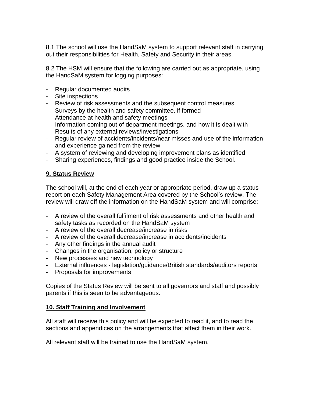8.1 The school will use the HandSaM system to support relevant staff in carrying out their responsibilities for Health, Safety and Security in their areas.

8.2 The HSM will ensure that the following are carried out as appropriate, using the HandSaM system for logging purposes:

- Regular documented audits
- Site inspections
- Review of risk assessments and the subsequent control measures
- Surveys by the health and safety committee, if formed
- Attendance at health and safety meetings
- Information coming out of department meetings, and how it is dealt with
- Results of any external reviews/investigations
- Regular review of accidents/incidents/near misses and use of the information and experience gained from the review
- A system of reviewing and developing improvement plans as identified
- Sharing experiences, findings and good practice inside the School.

#### **9. Status Review**

The school will, at the end of each year or appropriate period, draw up a status report on each Safety Management Area covered by the School's review. The review will draw off the information on the HandSaM system and will comprise:

- A review of the overall fulfilment of risk assessments and other health and safety tasks as recorded on the HandSaM system
- A review of the overall decrease/increase in risks
- A review of the overall decrease/increase in accidents/incidents
- Any other findings in the annual audit
- Changes in the organisation, policy or structure
- New processes and new technology
- External influences legislation/guidance/British standards/auditors reports
- Proposals for improvements

Copies of the Status Review will be sent to all governors and staff and possibly parents if this is seen to be advantageous.

#### **10. Staff Training and Involvement**

All staff will receive this policy and will be expected to read it, and to read the sections and appendices on the arrangements that affect them in their work.

All relevant staff will be trained to use the HandSaM system.